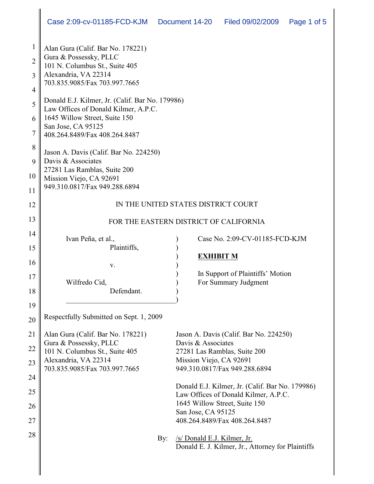| $\mathbf{1}$   | Alan Gura (Calif. Bar No. 178221)                                                       |                                                                                  |
|----------------|-----------------------------------------------------------------------------------------|----------------------------------------------------------------------------------|
| $\overline{2}$ | Gura & Possessky, PLLC<br>101 N. Columbus St., Suite 405                                |                                                                                  |
| 3              | Alexandria, VA 22314<br>703.835.9085/Fax 703.997.7665                                   |                                                                                  |
| $\overline{4}$ |                                                                                         |                                                                                  |
| 5              | Donald E.J. Kilmer, Jr. (Calif. Bar No. 179986)<br>Law Offices of Donald Kilmer, A.P.C. |                                                                                  |
| 6              | 1645 Willow Street, Suite 150                                                           |                                                                                  |
| 7              | San Jose, CA 95125<br>408.264.8489/Fax 408.264.8487                                     |                                                                                  |
| 8              | Jason A. Davis (Calif. Bar No. 224250)                                                  |                                                                                  |
| 9              | Davis & Associates                                                                      |                                                                                  |
| 10             | 27281 Las Ramblas, Suite 200<br>Mission Viejo, CA 92691                                 |                                                                                  |
| 11             | 949.310.0817/Fax 949.288.6894                                                           |                                                                                  |
| 12             | IN THE UNITED STATES DISTRICT COURT                                                     |                                                                                  |
| 13             | FOR THE EASTERN DISTRICT OF CALIFORNIA                                                  |                                                                                  |
| 14             | Ivan Peña, et al.,                                                                      | Case No. 2:09-CV-01185-FCD-KJM                                                   |
| 15             | Plaintiffs,                                                                             |                                                                                  |
| 16             | V.                                                                                      | <b>EXHIBIT M</b>                                                                 |
| 17             |                                                                                         | In Support of Plaintiffs' Motion                                                 |
| 18             | Wilfredo Cid,<br>Defendant.                                                             | For Summary Judgment                                                             |
| 19             |                                                                                         |                                                                                  |
| 20             | Respectfully Submitted on Sept. 1, 2009                                                 |                                                                                  |
| 21             | Alan Gura (Calif. Bar No. 178221)                                                       | Jason A. Davis (Calif. Bar No. 224250)                                           |
| 22             | Gura & Possessky, PLLC                                                                  | Davis & Associates                                                               |
| 23             | 101 N. Columbus St., Suite 405<br>Alexandria, VA 22314                                  | 27281 Las Ramblas, Suite 200<br>Mission Viejo, CA 92691                          |
|                | 703.835.9085/Fax 703.997.7665                                                           | 949.310.0817/Fax 949.288.6894                                                    |
| 24             |                                                                                         | Donald E.J. Kilmer, Jr. (Calif. Bar No. 179986)                                  |
| 25             |                                                                                         | Law Offices of Donald Kilmer, A.P.C.                                             |
| 26             |                                                                                         | 1645 Willow Street, Suite 150<br>San Jose, CA 95125                              |
| 27             |                                                                                         | 408.264.8489/Fax 408.264.8487                                                    |
| 28             | By:                                                                                     | /s/ Donald E.J. Kilmer, Jr.<br>Donald E. J. Kilmer, Jr., Attorney for Plaintiffs |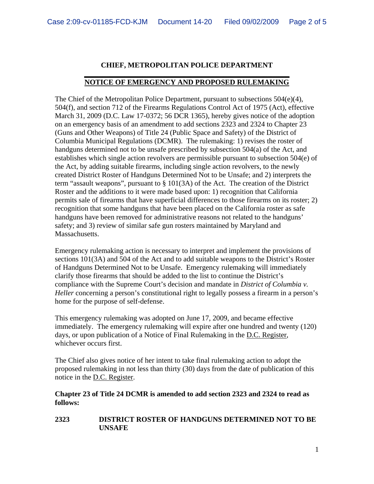## **CHIEF, METROPOLITAN POLICE DEPARTMENT**

## **\_\_\_\_\_\_\_\_\_\_\_\_\_\_\_\_\_\_\_\_\_\_\_\_\_\_\_\_\_\_\_\_\_\_\_\_\_\_\_\_\_\_\_\_\_\_\_\_\_\_\_\_\_\_\_\_ NOTICE OF EMERGENCY AND PROPOSED RULEMAKING**

The Chief of the Metropolitan Police Department, pursuant to subsections 504(e)(4), 504(f), and section 712 of the Firearms Regulations Control Act of 1975 (Act), effective March 31, 2009 (D.C. Law 17-0372; 56 DCR 1365), hereby gives notice of the adoption on an emergency basis of an amendment to add sections 2323 and 2324 to Chapter 23 (Guns and Other Weapons) of Title 24 (Public Space and Safety) of the District of Columbia Municipal Regulations (DCMR). The rulemaking: 1) revises the roster of handguns determined not to be unsafe prescribed by subsection 504(a) of the Act, and establishes which single action revolvers are permissible pursuant to subsection 504(e) of the Act, by adding suitable firearms, including single action revolvers, to the newly created District Roster of Handguns Determined Not to be Unsafe; and 2) interprets the term "assault weapons", pursuant to § 101(3A) of the Act. The creation of the District Roster and the additions to it were made based upon: 1) recognition that California permits sale of firearms that have superficial differences to those firearms on its roster; 2) recognition that some handguns that have been placed on the California roster as safe handguns have been removed for administrative reasons not related to the handguns' safety; and 3) review of similar safe gun rosters maintained by Maryland and Massachusetts.

Emergency rulemaking action is necessary to interpret and implement the provisions of sections 101(3A) and 504 of the Act and to add suitable weapons to the District's Roster of Handguns Determined Not to be Unsafe. Emergency rulemaking will immediately clarify those firearms that should be added to the list to continue the District's compliance with the Supreme Court's decision and mandate in *District of Columbia v. Heller* concerning a person's constitutional right to legally possess a firearm in a person's home for the purpose of self-defense.

This emergency rulemaking was adopted on June 17, 2009, and became effective immediately. The emergency rulemaking will expire after one hundred and twenty (120) days, or upon publication of a Notice of Final Rulemaking in the D.C. Register, whichever occurs first.

The Chief also gives notice of her intent to take final rulemaking action to adopt the proposed rulemaking in not less than thirty (30) days from the date of publication of this notice in the D.C. Register.

## **Chapter 23 of Title 24 DCMR is amended to add section 2323 and 2324 to read as follows:**

**2323 DISTRICT ROSTER OF HANDGUNS DETERMINED NOT TO BE UNSAFE**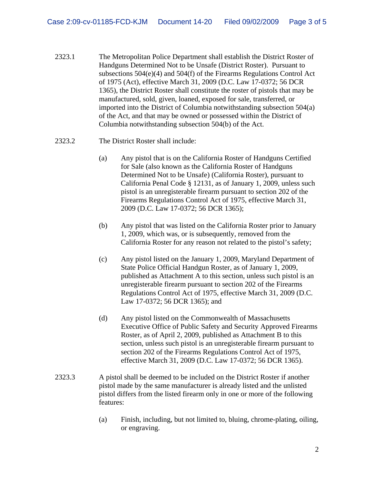- 2323.1 The Metropolitan Police Department shall establish the District Roster of Handguns Determined Not to be Unsafe (District Roster). Pursuant to subsections 504(e)(4) and 504(f) of the Firearms Regulations Control Act of 1975 (Act), effective March 31, 2009 (D.C. Law 17-0372; 56 DCR 1365), the District Roster shall constitute the roster of pistols that may be manufactured, sold, given, loaned, exposed for sale, transferred, or imported into the District of Columbia notwithstanding subsection 504(a) of the Act, and that may be owned or possessed within the District of Columbia notwithstanding subsection 504(b) of the Act.
- 2323.2 The District Roster shall include:
	- (a) Any pistol that is on the California Roster of Handguns Certified for Sale (also known as the California Roster of Handguns Determined Not to be Unsafe) (California Roster), pursuant to California Penal Code § 12131, as of January 1, 2009, unless such pistol is an unregisterable firearm pursuant to section 202 of the Firearms Regulations Control Act of 1975, effective March 31, 2009 (D.C. Law 17-0372; 56 DCR 1365);
	- (b) Any pistol that was listed on the California Roster prior to January 1, 2009, which was, or is subsequently, removed from the California Roster for any reason not related to the pistol's safety;
	- (c) Any pistol listed on the January 1, 2009, Maryland Department of State Police Official Handgun Roster, as of January 1, 2009, published as Attachment A to this section, unless such pistol is an unregisterable firearm pursuant to section 202 of the Firearms Regulations Control Act of 1975, effective March 31, 2009 (D.C. Law 17-0372; 56 DCR 1365); and
	- (d) Any pistol listed on the Commonwealth of Massachusetts Executive Office of Public Safety and Security Approved Firearms Roster, as of April 2, 2009, published as Attachment B to this section, unless such pistol is an unregisterable firearm pursuant to section 202 of the Firearms Regulations Control Act of 1975, effective March 31, 2009 (D.C. Law 17-0372; 56 DCR 1365).
- 2323.3 A pistol shall be deemed to be included on the District Roster if another pistol made by the same manufacturer is already listed and the unlisted pistol differs from the listed firearm only in one or more of the following features:
	- (a) Finish, including, but not limited to, bluing, chrome-plating, oiling, or engraving.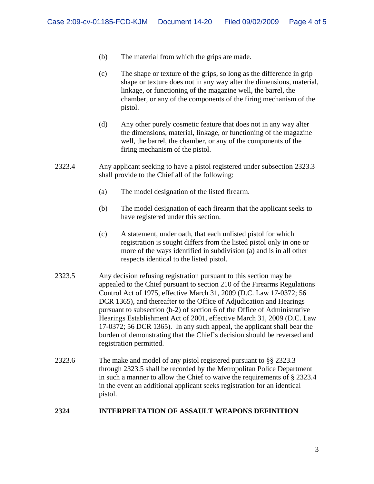- (b) The material from which the grips are made.
- (c) The shape or texture of the grips, so long as the difference in grip shape or texture does not in any way alter the dimensions, material, linkage, or functioning of the magazine well, the barrel, the chamber, or any of the components of the firing mechanism of the pistol.
- (d) Any other purely cosmetic feature that does not in any way alter the dimensions, material, linkage, or functioning of the magazine well, the barrel, the chamber, or any of the components of the firing mechanism of the pistol.
- 2323.4 Any applicant seeking to have a pistol registered under subsection 2323.3 shall provide to the Chief all of the following:
	- (a) The model designation of the listed firearm.
	- (b) The model designation of each firearm that the applicant seeks to have registered under this section.
	- (c) A statement, under oath, that each unlisted pistol for which registration is sought differs from the listed pistol only in one or more of the ways identified in subdivision (a) and is in all other respects identical to the listed pistol.
- 2323.5 Any decision refusing registration pursuant to this section may be appealed to the Chief pursuant to section 210 of the Firearms Regulations Control Act of 1975, effective March 31, 2009 (D.C. Law 17-0372; 56 DCR 1365), and thereafter to the Office of Adjudication and Hearings pursuant to subsection (b-2) of section 6 of the Office of Administrative Hearings Establishment Act of 2001, effective March 31, 2009 (D.C. Law 17-0372; 56 DCR 1365). In any such appeal, the applicant shall bear the burden of demonstrating that the Chief's decision should be reversed and registration permitted.
- 2323.6 The make and model of any pistol registered pursuant to §§ 2323.3 through 2323.5 shall be recorded by the Metropolitan Police Department in such a manner to allow the Chief to waive the requirements of § 2323.4 in the event an additional applicant seeks registration for an identical pistol.

## **2324 INTERPRETATION OF ASSAULT WEAPONS DEFINITION**